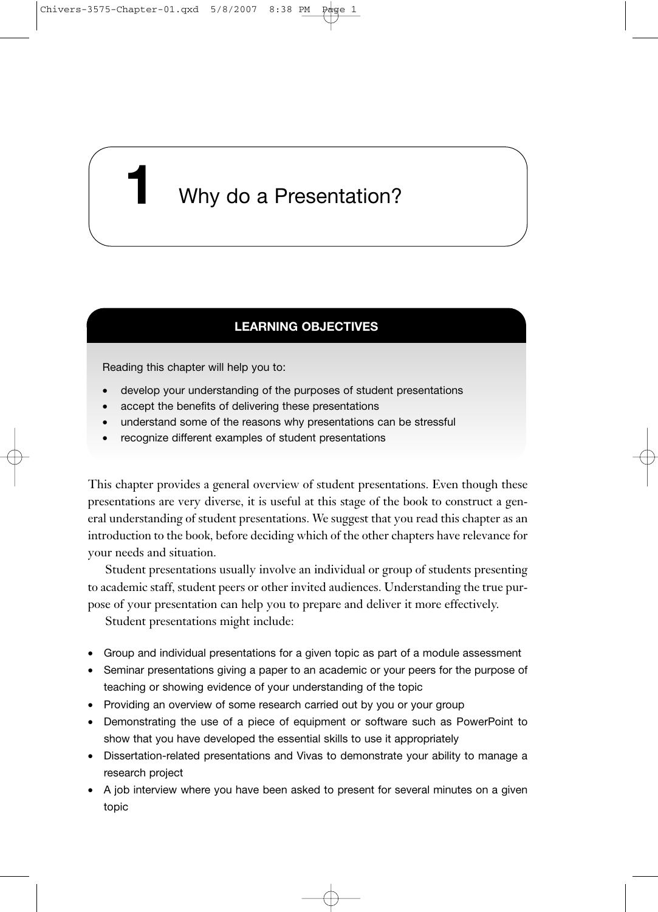# Why do a Presentation?

#### LEARNING OBJECTIVES

Reading this chapter will help you to:

- develop your understanding of the purposes of student presentations
- accept the benefits of delivering these presentations
- understand some of the reasons why presentations can be stressful
- recognize different examples of student presentations

This chapter provides a general overview of student presentations. Even though these presentations are very diverse, it is useful at this stage of the book to construct a general understanding of student presentations. We suggest that you read this chapter as an introduction to the book, before deciding which of the other chapters have relevance for your needs and situation.

Student presentations usually involve an individual or group of students presenting to academic staff, student peers or other invited audiences. Understanding the true purpose of your presentation can help you to prepare and deliver it more effectively.

Student presentations might include:

- Group and individual presentations for a given topic as part of a module assessment
- Seminar presentations giving a paper to an academic or your peers for the purpose of teaching or showing evidence of your understanding of the topic
- Providing an overview of some research carried out by you or your group
- Demonstrating the use of a piece of equipment or software such as PowerPoint to show that you have developed the essential skills to use it appropriately
- Dissertation-related presentations and Vivas to demonstrate your ability to manage a research project
- A job interview where you have been asked to present for several minutes on a given topic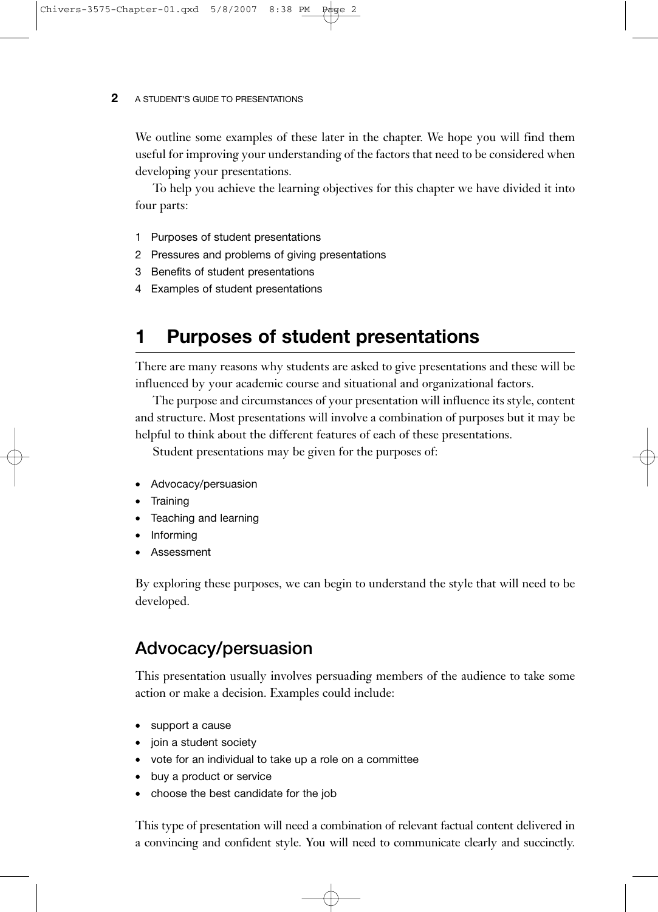We outline some examples of these later in the chapter. We hope you will find them useful for improving your understanding of the factors that need to be considered when developing your presentations.

To help you achieve the learning objectives for this chapter we have divided it into four parts:

- 1 Purposes of student presentations
- 2 Pressures and problems of giving presentations
- 3 Benefits of student presentations
- 4 Examples of student presentations

## 1 Purposes of student presentations

There are many reasons why students are asked to give presentations and these will be influenced by your academic course and situational and organizational factors.

The purpose and circumstances of your presentation will influence its style, content and structure. Most presentations will involve a combination of purposes but it may be helpful to think about the different features of each of these presentations.

Student presentations may be given for the purposes of:

- Advocacy/persuasion
- Training
- Teaching and learning
- **Informing**
- **Assessment**

By exploring these purposes, we can begin to understand the style that will need to be developed.

#### Advocacy/persuasion

This presentation usually involves persuading members of the audience to take some action or make a decision. Examples could include:

- support a cause
- join a student society
- vote for an individual to take up a role on a committee
- buy a product or service
- choose the best candidate for the job

This type of presentation will need a combination of relevant factual content delivered in a convincing and confident style. You will need to communicate clearly and succinctly.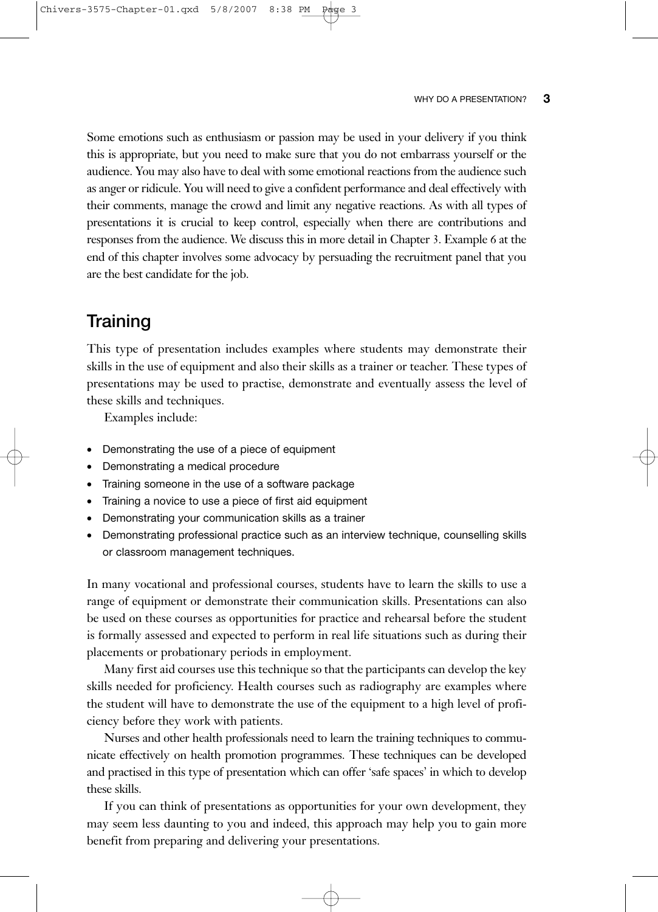$Chivers-3575-Chapter-01.qxd 5/8/2007 8:38 PM$ 

Some emotions such as enthusiasm or passion may be used in your delivery if you think this is appropriate, but you need to make sure that you do not embarrass yourself or the audience. You may also have to deal with some emotional reactions from the audience such as anger or ridicule. You will need to give a confident performance and deal effectively with their comments, manage the crowd and limit any negative reactions. As with all types of presentations it is crucial to keep control, especially when there are contributions and responses from the audience. We discuss this in more detail in Chapter 3. Example 6 at the end of this chapter involves some advocacy by persuading the recruitment panel that you are the best candidate for the job.

#### **Training**

This type of presentation includes examples where students may demonstrate their skills in the use of equipment and also their skills as a trainer or teacher. These types of presentations may be used to practise, demonstrate and eventually assess the level of these skills and techniques.

Examples include:

- Demonstrating the use of a piece of equipment
- Demonstrating a medical procedure
- Training someone in the use of a software package
- Training a novice to use a piece of first aid equipment
- Demonstrating your communication skills as a trainer
- Demonstrating professional practice such as an interview technique, counselling skills or classroom management techniques.

In many vocational and professional courses, students have to learn the skills to use a range of equipment or demonstrate their communication skills. Presentations can also be used on these courses as opportunities for practice and rehearsal before the student is formally assessed and expected to perform in real life situations such as during their placements or probationary periods in employment.

Many first aid courses use this technique so that the participants can develop the key skills needed for proficiency. Health courses such as radiography are examples where the student will have to demonstrate the use of the equipment to a high level of proficiency before they work with patients.

Nurses and other health professionals need to learn the training techniques to communicate effectively on health promotion programmes. These techniques can be developed and practised in this type of presentation which can offer 'safe spaces' in which to develop these skills.

If you can think of presentations as opportunities for your own development, they may seem less daunting to you and indeed, this approach may help you to gain more benefit from preparing and delivering your presentations.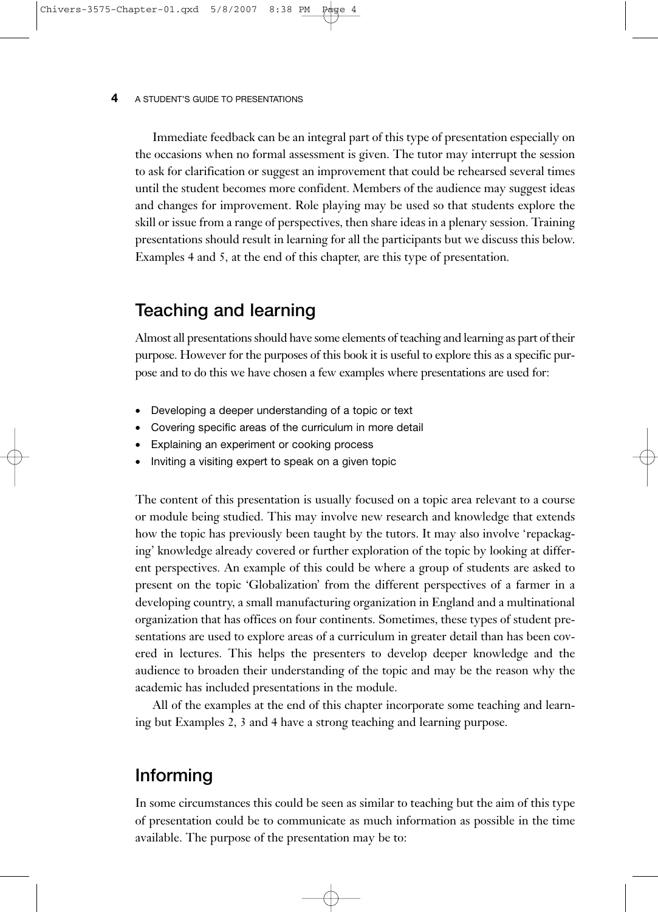Immediate feedback can be an integral part of this type of presentation especially on the occasions when no formal assessment is given. The tutor may interrupt the session to ask for clarification or suggest an improvement that could be rehearsed several times until the student becomes more confident. Members of the audience may suggest ideas and changes for improvement. Role playing may be used so that students explore the skill or issue from a range of perspectives, then share ideas in a plenary session. Training presentations should result in learning for all the participants but we discuss this below. Examples 4 and 5, at the end of this chapter, are this type of presentation.

### Teaching and learning

Almost all presentations should have some elements of teaching and learning as part of their purpose. However for the purposes of this book it is useful to explore this as a specific purpose and to do this we have chosen a few examples where presentations are used for:

- Developing a deeper understanding of a topic or text
- Covering specific areas of the curriculum in more detail
- Explaining an experiment or cooking process
- Inviting a visiting expert to speak on a given topic

The content of this presentation is usually focused on a topic area relevant to a course or module being studied. This may involve new research and knowledge that extends how the topic has previously been taught by the tutors. It may also involve 'repackaging' knowledge already covered or further exploration of the topic by looking at different perspectives. An example of this could be where a group of students are asked to present on the topic 'Globalization' from the different perspectives of a farmer in a developing country, a small manufacturing organization in England and a multinational organization that has offices on four continents. Sometimes, these types of student presentations are used to explore areas of a curriculum in greater detail than has been covered in lectures. This helps the presenters to develop deeper knowledge and the audience to broaden their understanding of the topic and may be the reason why the academic has included presentations in the module.

All of the examples at the end of this chapter incorporate some teaching and learning but Examples 2, 3 and 4 have a strong teaching and learning purpose.

#### Informing

In some circumstances this could be seen as similar to teaching but the aim of this type of presentation could be to communicate as much information as possible in the time available. The purpose of the presentation may be to: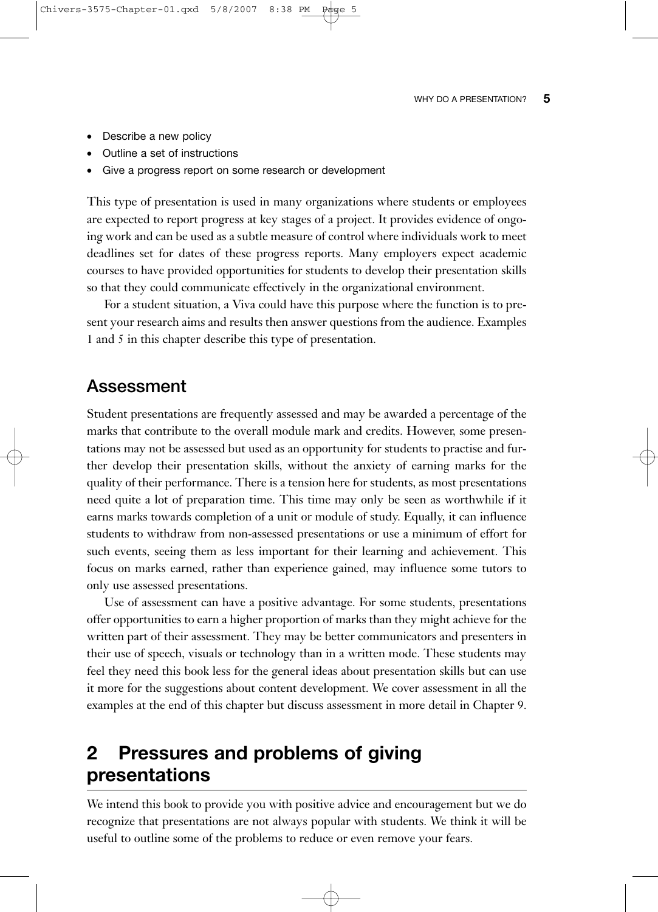#### WHY DO A PRESENTATION? 5

- Describe a new policy
- Outline a set of instructions
- Give a progress report on some research or development

This type of presentation is used in many organizations where students or employees are expected to report progress at key stages of a project. It provides evidence of ongoing work and can be used as a subtle measure of control where individuals work to meet deadlines set for dates of these progress reports. Many employers expect academic courses to have provided opportunities for students to develop their presentation skills so that they could communicate effectively in the organizational environment.

For a student situation, a Viva could have this purpose where the function is to present your research aims and results then answer questions from the audience. Examples 1 and 5 in this chapter describe this type of presentation.

#### Assessment

Student presentations are frequently assessed and may be awarded a percentage of the marks that contribute to the overall module mark and credits. However, some presentations may not be assessed but used as an opportunity for students to practise and further develop their presentation skills, without the anxiety of earning marks for the quality of their performance. There is a tension here for students, as most presentations need quite a lot of preparation time. This time may only be seen as worthwhile if it earns marks towards completion of a unit or module of study. Equally, it can influence students to withdraw from non-assessed presentations or use a minimum of effort for such events, seeing them as less important for their learning and achievement. This focus on marks earned, rather than experience gained, may influence some tutors to only use assessed presentations.

Use of assessment can have a positive advantage. For some students, presentations offer opportunities to earn a higher proportion of marks than they might achieve for the written part of their assessment. They may be better communicators and presenters in their use of speech, visuals or technology than in a written mode. These students may feel they need this book less for the general ideas about presentation skills but can use it more for the suggestions about content development. We cover assessment in all the examples at the end of this chapter but discuss assessment in more detail in Chapter 9.

### 2 Pressures and problems of giving presentations

We intend this book to provide you with positive advice and encouragement but we do recognize that presentations are not always popular with students. We think it will be useful to outline some of the problems to reduce or even remove your fears.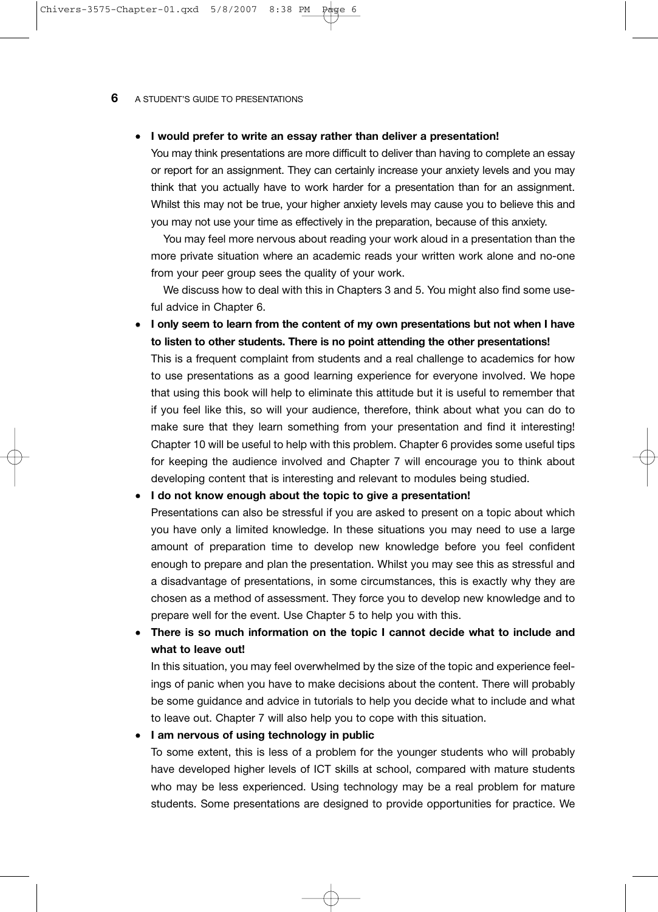#### • I would prefer to write an essay rather than deliver a presentation!

You may think presentations are more difficult to deliver than having to complete an essay or report for an assignment. They can certainly increase your anxiety levels and you may think that you actually have to work harder for a presentation than for an assignment. Whilst this may not be true, your higher anxiety levels may cause you to believe this and you may not use your time as effectively in the preparation, because of this anxiety.

You may feel more nervous about reading your work aloud in a presentation than the more private situation where an academic reads your written work alone and no-one from your peer group sees the quality of your work.

We discuss how to deal with this in Chapters 3 and 5. You might also find some useful advice in Chapter 6.

• I only seem to learn from the content of my own presentations but not when I have to listen to other students. There is no point attending the other presentations!

This is a frequent complaint from students and a real challenge to academics for how to use presentations as a good learning experience for everyone involved. We hope that using this book will help to eliminate this attitude but it is useful to remember that if you feel like this, so will your audience, therefore, think about what you can do to make sure that they learn something from your presentation and find it interesting! Chapter 10 will be useful to help with this problem. Chapter 6 provides some useful tips for keeping the audience involved and Chapter 7 will encourage you to think about developing content that is interesting and relevant to modules being studied.

#### I do not know enough about the topic to give a presentation!

Presentations can also be stressful if you are asked to present on a topic about which you have only a limited knowledge. In these situations you may need to use a large amount of preparation time to develop new knowledge before you feel confident enough to prepare and plan the presentation. Whilst you may see this as stressful and a disadvantage of presentations, in some circumstances, this is exactly why they are chosen as a method of assessment. They force you to develop new knowledge and to prepare well for the event. Use Chapter 5 to help you with this.

• There is so much information on the topic I cannot decide what to include and what to leave out!

In this situation, you may feel overwhelmed by the size of the topic and experience feelings of panic when you have to make decisions about the content. There will probably be some guidance and advice in tutorials to help you decide what to include and what to leave out. Chapter 7 will also help you to cope with this situation.

• I am nervous of using technology in public

To some extent, this is less of a problem for the younger students who will probably have developed higher levels of ICT skills at school, compared with mature students who may be less experienced. Using technology may be a real problem for mature students. Some presentations are designed to provide opportunities for practice. We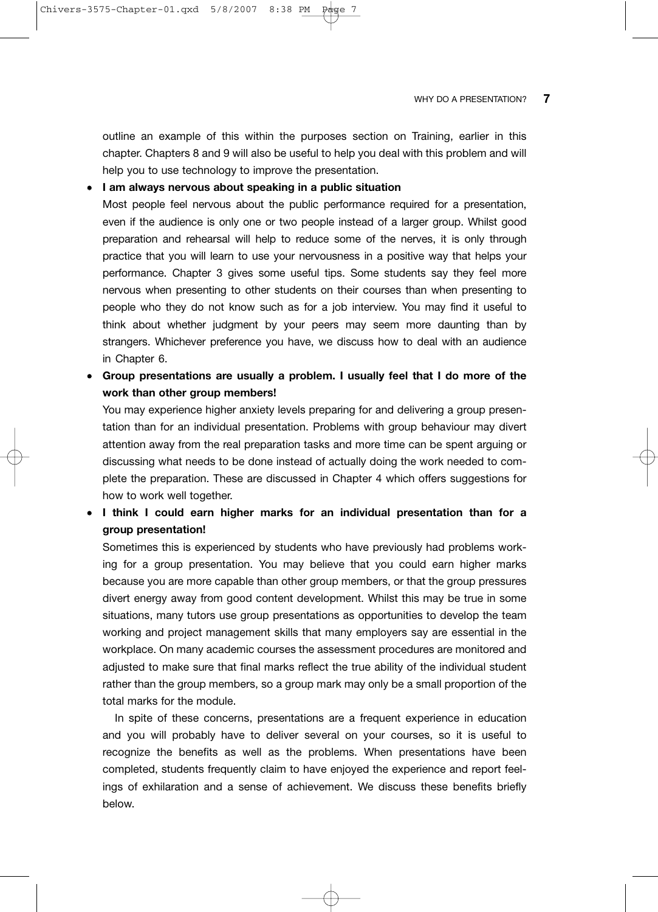outline an example of this within the purposes section on Training, earlier in this chapter. Chapters 8 and 9 will also be useful to help you deal with this problem and will help you to use technology to improve the presentation.

• I am always nervous about speaking in a public situation

Most people feel nervous about the public performance required for a presentation, even if the audience is only one or two people instead of a larger group. Whilst good preparation and rehearsal will help to reduce some of the nerves, it is only through practice that you will learn to use your nervousness in a positive way that helps your performance. Chapter 3 gives some useful tips. Some students say they feel more nervous when presenting to other students on their courses than when presenting to people who they do not know such as for a job interview. You may find it useful to think about whether judgment by your peers may seem more daunting than by strangers. Whichever preference you have, we discuss how to deal with an audience in Chapter 6.

• Group presentations are usually a problem. I usually feel that I do more of the work than other group members!

You may experience higher anxiety levels preparing for and delivering a group presentation than for an individual presentation. Problems with group behaviour may divert attention away from the real preparation tasks and more time can be spent arguing or discussing what needs to be done instead of actually doing the work needed to complete the preparation. These are discussed in Chapter 4 which offers suggestions for how to work well together.

• I think I could earn higher marks for an individual presentation than for a group presentation!

Sometimes this is experienced by students who have previously had problems working for a group presentation. You may believe that you could earn higher marks because you are more capable than other group members, or that the group pressures divert energy away from good content development. Whilst this may be true in some situations, many tutors use group presentations as opportunities to develop the team working and project management skills that many employers say are essential in the workplace. On many academic courses the assessment procedures are monitored and adjusted to make sure that final marks reflect the true ability of the individual student rather than the group members, so a group mark may only be a small proportion of the total marks for the module.

In spite of these concerns, presentations are a frequent experience in education and you will probably have to deliver several on your courses, so it is useful to recognize the benefits as well as the problems. When presentations have been completed, students frequently claim to have enjoyed the experience and report feelings of exhilaration and a sense of achievement. We discuss these benefits briefly below.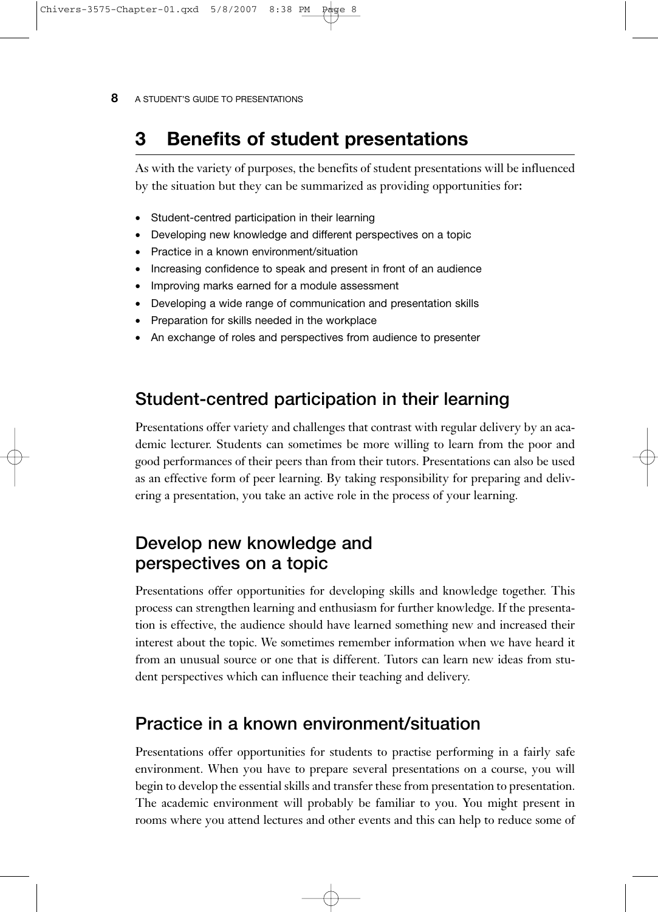## 3 Benefits of student presentations

As with the variety of purposes, the benefits of student presentations will be influenced by the situation but they can be summarized as providing opportunities for:

- Student-centred participation in their learning
- Developing new knowledge and different perspectives on a topic
- Practice in a known environment/situation
- Increasing confidence to speak and present in front of an audience
- Improving marks earned for a module assessment
- Developing a wide range of communication and presentation skills
- Preparation for skills needed in the workplace
- An exchange of roles and perspectives from audience to presenter

#### Student-centred participation in their learning

Presentations offer variety and challenges that contrast with regular delivery by an academic lecturer. Students can sometimes be more willing to learn from the poor and good performances of their peers than from their tutors. Presentations can also be used as an effective form of peer learning. By taking responsibility for preparing and delivering a presentation, you take an active role in the process of your learning.

### Develop new knowledge and perspectives on a topic

Presentations offer opportunities for developing skills and knowledge together. This process can strengthen learning and enthusiasm for further knowledge. If the presentation is effective, the audience should have learned something new and increased their interest about the topic. We sometimes remember information when we have heard it from an unusual source or one that is different. Tutors can learn new ideas from student perspectives which can influence their teaching and delivery.

#### Practice in a known environment/situation

Presentations offer opportunities for students to practise performing in a fairly safe environment. When you have to prepare several presentations on a course, you will begin to develop the essential skills and transfer these from presentation to presentation. The academic environment will probably be familiar to you. You might present in rooms where you attend lectures and other events and this can help to reduce some of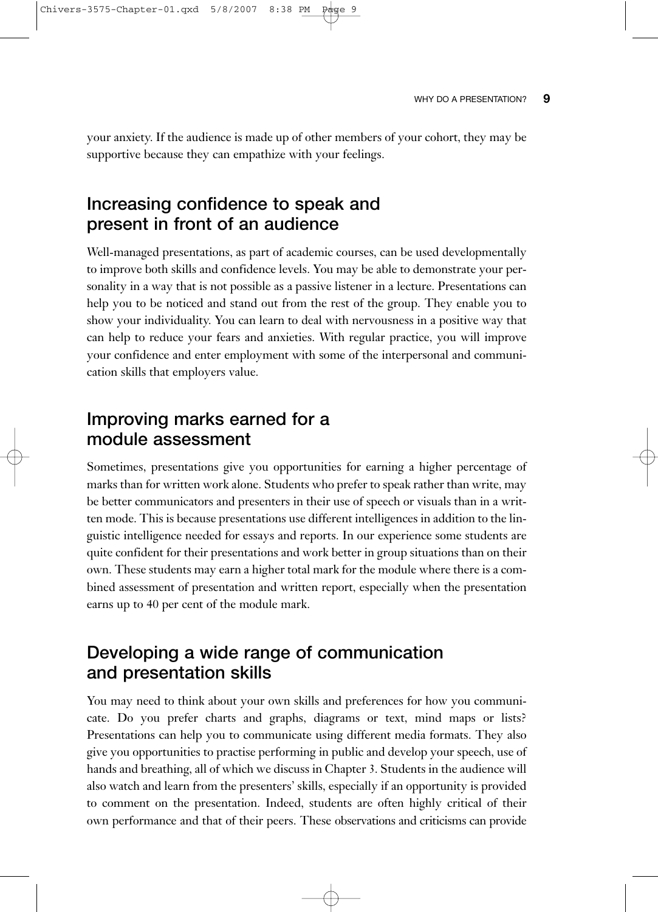your anxiety. If the audience is made up of other members of your cohort, they may be supportive because they can empathize with your feelings.

### Increasing confidence to speak and present in front of an audience

Well-managed presentations, as part of academic courses, can be used developmentally to improve both skills and confidence levels. You may be able to demonstrate your personality in a way that is not possible as a passive listener in a lecture. Presentations can help you to be noticed and stand out from the rest of the group. They enable you to show your individuality. You can learn to deal with nervousness in a positive way that can help to reduce your fears and anxieties. With regular practice, you will improve your confidence and enter employment with some of the interpersonal and communication skills that employers value.

#### Improving marks earned for a module assessment

Sometimes, presentations give you opportunities for earning a higher percentage of marks than for written work alone. Students who prefer to speak rather than write, may be better communicators and presenters in their use of speech or visuals than in a written mode. This is because presentations use different intelligences in addition to the linguistic intelligence needed for essays and reports. In our experience some students are quite confident for their presentations and work better in group situations than on their own. These students may earn a higher total mark for the module where there is a combined assessment of presentation and written report, especially when the presentation earns up to 40 per cent of the module mark.

### Developing a wide range of communication and presentation skills

You may need to think about your own skills and preferences for how you communicate. Do you prefer charts and graphs, diagrams or text, mind maps or lists? Presentations can help you to communicate using different media formats. They also give you opportunities to practise performing in public and develop your speech, use of hands and breathing, all of which we discuss in Chapter 3. Students in the audience will also watch and learn from the presenters' skills, especially if an opportunity is provided to comment on the presentation. Indeed, students are often highly critical of their own performance and that of their peers. These observations and criticisms can provide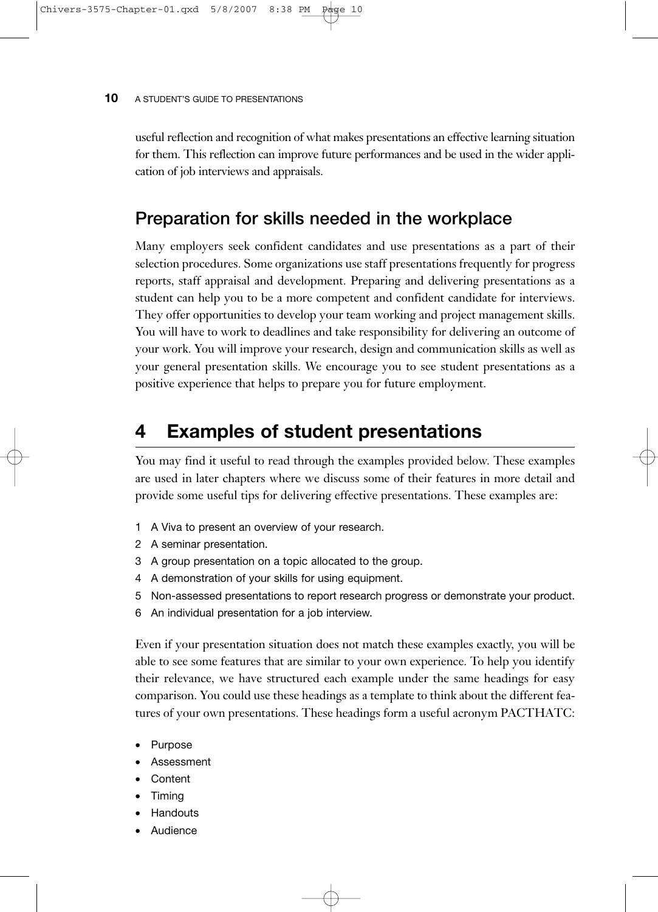useful reflection and recognition of what makes presentations an effective learning situation for them. This reflection can improve future performances and be used in the wider application of job interviews and appraisals.

#### Preparation for skills needed in the workplace

Many employers seek confident candidates and use presentations as a part of their selection procedures. Some organizations use staff presentations frequently for progress reports, staff appraisal and development. Preparing and delivering presentations as a student can help you to be a more competent and confident candidate for interviews. They offer opportunities to develop your team working and project management skills. You will have to work to deadlines and take responsibility for delivering an outcome of your work. You will improve your research, design and communication skills as well as your general presentation skills. We encourage you to see student presentations as a positive experience that helps to prepare you for future employment.

### 4 Examples of student presentations

You may find it useful to read through the examples provided below. These examples are used in later chapters where we discuss some of their features in more detail and provide some useful tips for delivering effective presentations. These examples are:

- 1 A Viva to present an overview of your research.
- 2 A seminar presentation.
- 3 A group presentation on a topic allocated to the group.
- 4 A demonstration of your skills for using equipment.
- 5 Non-assessed presentations to report research progress or demonstrate your product.
- 6 An individual presentation for a job interview.

Even if your presentation situation does not match these examples exactly, you will be able to see some features that are similar to your own experience. To help you identify their relevance, we have structured each example under the same headings for easy comparison. You could use these headings as a template to think about the different features of your own presentations. These headings form a useful acronym PACTHATC:

- **Purpose**
- **Assessment**
- **Content**
- **Timing**
- **Handouts**
- **Audience**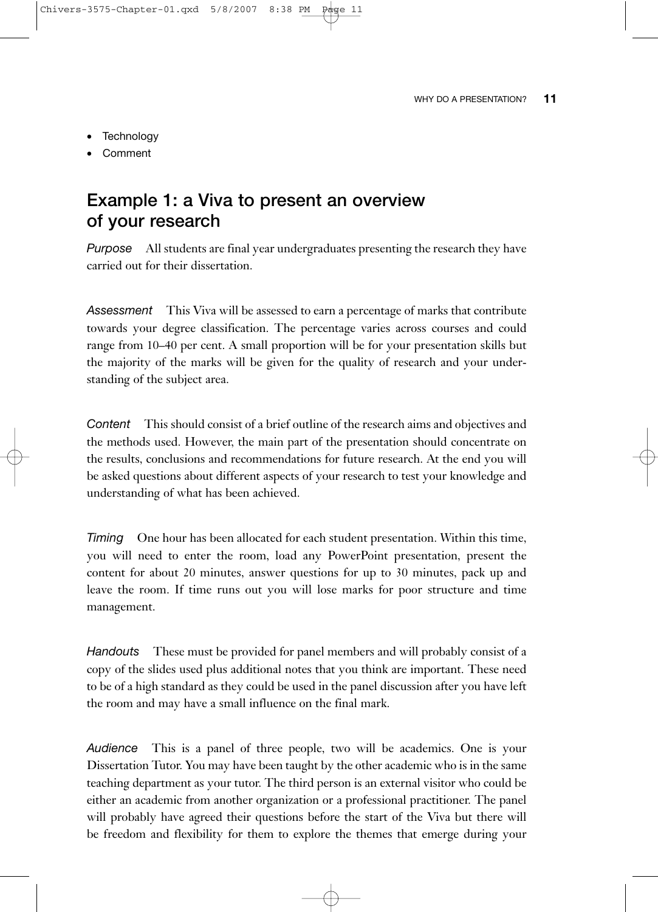**Technology** 

Chivers-3575-Chapter-01.qxd 5/8/2007 8:38 PM

• Comment

### Example 1: a Viva to present an overview of your research

Purpose All students are final year undergraduates presenting the research they have carried out for their dissertation.

Assessment This Viva will be assessed to earn a percentage of marks that contribute towards your degree classification. The percentage varies across courses and could range from 10–40 per cent. A small proportion will be for your presentation skills but the majority of the marks will be given for the quality of research and your understanding of the subject area.

Content This should consist of a brief outline of the research aims and objectives and the methods used. However, the main part of the presentation should concentrate on the results, conclusions and recommendations for future research. At the end you will be asked questions about different aspects of your research to test your knowledge and understanding of what has been achieved.

Timing One hour has been allocated for each student presentation. Within this time, you will need to enter the room, load any PowerPoint presentation, present the content for about 20 minutes, answer questions for up to 30 minutes, pack up and leave the room. If time runs out you will lose marks for poor structure and time management.

Handouts These must be provided for panel members and will probably consist of a copy of the slides used plus additional notes that you think are important. These need to be of a high standard as they could be used in the panel discussion after you have left the room and may have a small influence on the final mark.

Audience This is a panel of three people, two will be academics. One is your Dissertation Tutor. You may have been taught by the other academic who is in the same teaching department as your tutor. The third person is an external visitor who could be either an academic from another organization or a professional practitioner. The panel will probably have agreed their questions before the start of the Viva but there will be freedom and flexibility for them to explore the themes that emerge during your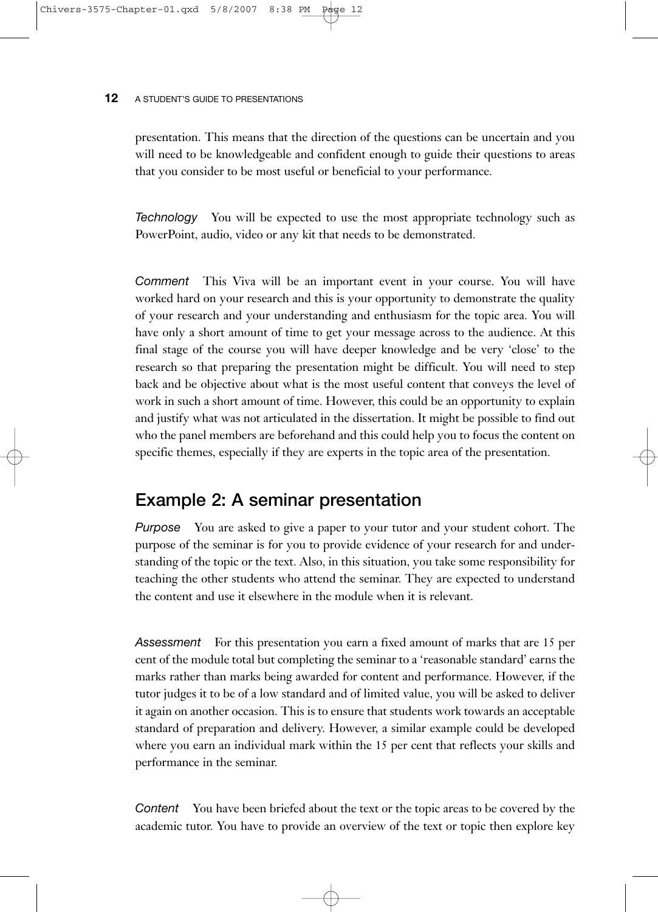presentation. This means that the direction of the questions can be uncertain and you will need to be knowledgeable and confident enough to guide their questions to areas that you consider to be most useful or beneficial to your performance.

Technology You will be expected to use the most appropriate technology such as PowerPoint, audio, video or any kit that needs to be demonstrated.

Comment This Viva will be an important event in your course. You will have worked hard on your research and this is your opportunity to demonstrate the quality of your research and your understanding and enthusiasm for the topic area. You will have only a short amount of time to get your message across to the audience. At this final stage of the course you will have deeper knowledge and be very 'close' to the research so that preparing the presentation might be difficult. You will need to step back and be objective about what is the most useful content that conveys the level of work in such a short amount of time. However, this could be an opportunity to explain and justify what was not articulated in the dissertation. It might be possible to find out who the panel members are beforehand and this could help you to focus the content on specific themes, especially if they are experts in the topic area of the presentation.

#### Example 2: A seminar presentation

Purpose You are asked to give a paper to your tutor and your student cohort. The purpose of the seminar is for you to provide evidence of your research for and understanding of the topic or the text. Also, in this situation, you take some responsibility for teaching the other students who attend the seminar. They are expected to understand the content and use it elsewhere in the module when it is relevant.

Assessment For this presentation you earn a fixed amount of marks that are 15 per cent of the module total but completing the seminar to a 'reasonable standard' earns the marks rather than marks being awarded for content and performance. However, if the tutor judges it to be of a low standard and of limited value, you will be asked to deliver it again on another occasion. This is to ensure that students work towards an acceptable standard of preparation and delivery. However, a similar example could be developed where you earn an individual mark within the 15 per cent that reflects your skills and performance in the seminar.

Content You have been briefed about the text or the topic areas to be covered by the academic tutor. You have to provide an overview of the text or topic then explore key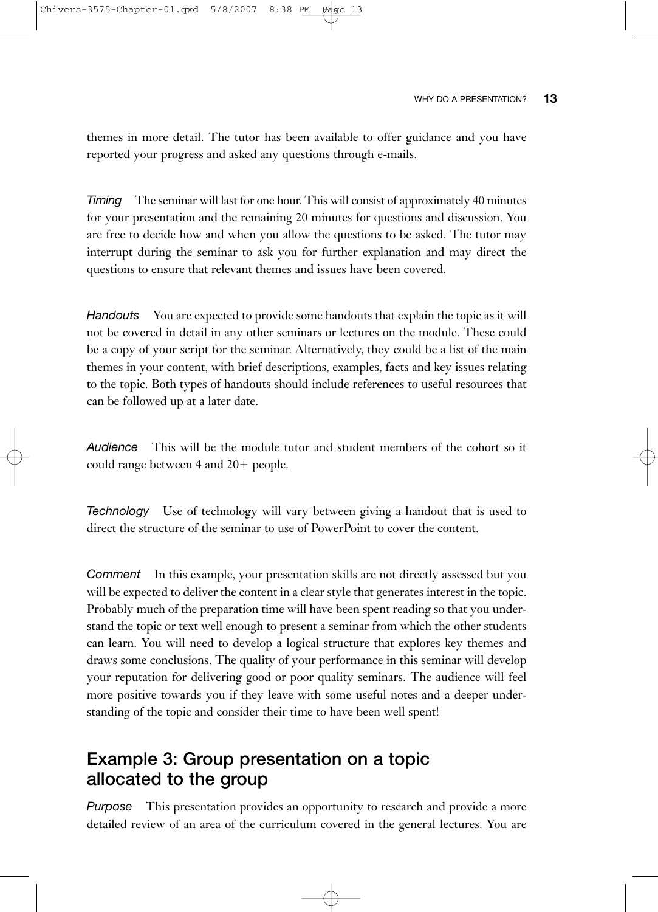themes in more detail. The tutor has been available to offer guidance and you have reported your progress and asked any questions through e-mails.

Timing The seminar will last for one hour. This will consist of approximately 40 minutes for your presentation and the remaining 20 minutes for questions and discussion. You are free to decide how and when you allow the questions to be asked. The tutor may interrupt during the seminar to ask you for further explanation and may direct the questions to ensure that relevant themes and issues have been covered.

Handouts You are expected to provide some handouts that explain the topic as it will not be covered in detail in any other seminars or lectures on the module. These could be a copy of your script for the seminar. Alternatively, they could be a list of the main themes in your content, with brief descriptions, examples, facts and key issues relating to the topic. Both types of handouts should include references to useful resources that can be followed up at a later date.

Audience This will be the module tutor and student members of the cohort so it could range between 4 and 20+ people.

Technology Use of technology will vary between giving a handout that is used to direct the structure of the seminar to use of PowerPoint to cover the content.

Comment In this example, your presentation skills are not directly assessed but you will be expected to deliver the content in a clear style that generates interest in the topic. Probably much of the preparation time will have been spent reading so that you understand the topic or text well enough to present a seminar from which the other students can learn. You will need to develop a logical structure that explores key themes and draws some conclusions. The quality of your performance in this seminar will develop your reputation for delivering good or poor quality seminars. The audience will feel more positive towards you if they leave with some useful notes and a deeper understanding of the topic and consider their time to have been well spent!

### Example 3: Group presentation on a topic allocated to the group

Purpose This presentation provides an opportunity to research and provide a more detailed review of an area of the curriculum covered in the general lectures. You are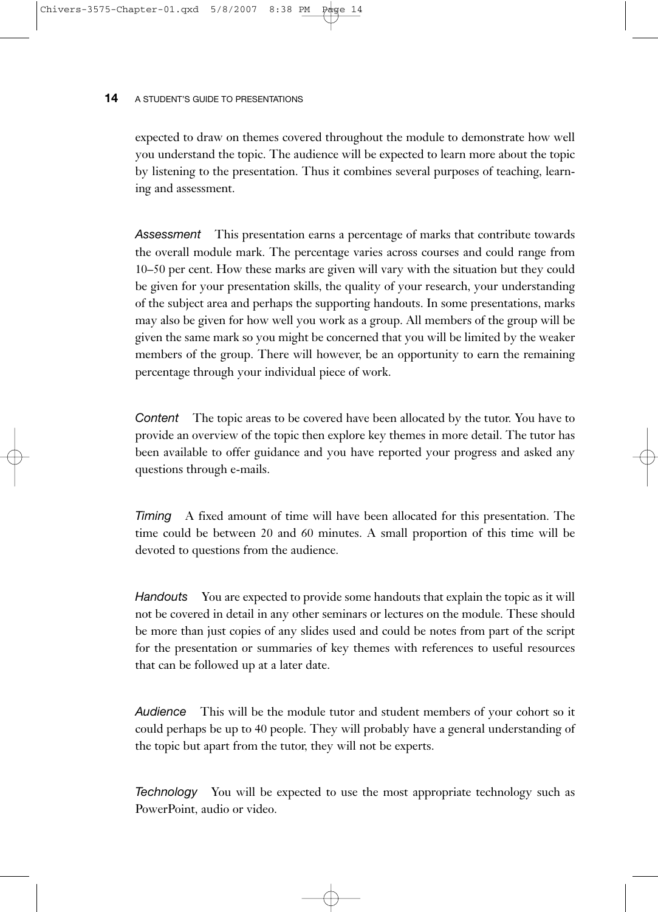expected to draw on themes covered throughout the module to demonstrate how well you understand the topic. The audience will be expected to learn more about the topic by listening to the presentation. Thus it combines several purposes of teaching, learning and assessment.

Assessment This presentation earns a percentage of marks that contribute towards the overall module mark. The percentage varies across courses and could range from 10–50 per cent. How these marks are given will vary with the situation but they could be given for your presentation skills, the quality of your research, your understanding of the subject area and perhaps the supporting handouts. In some presentations, marks may also be given for how well you work as a group. All members of the group will be given the same mark so you might be concerned that you will be limited by the weaker members of the group. There will however, be an opportunity to earn the remaining percentage through your individual piece of work.

Content The topic areas to be covered have been allocated by the tutor. You have to provide an overview of the topic then explore key themes in more detail. The tutor has been available to offer guidance and you have reported your progress and asked any questions through e-mails.

Timing A fixed amount of time will have been allocated for this presentation. The time could be between 20 and 60 minutes. A small proportion of this time will be devoted to questions from the audience.

Handouts You are expected to provide some handouts that explain the topic as it will not be covered in detail in any other seminars or lectures on the module. These should be more than just copies of any slides used and could be notes from part of the script for the presentation or summaries of key themes with references to useful resources that can be followed up at a later date.

Audience This will be the module tutor and student members of your cohort so it could perhaps be up to 40 people. They will probably have a general understanding of the topic but apart from the tutor, they will not be experts.

Technology You will be expected to use the most appropriate technology such as PowerPoint, audio or video.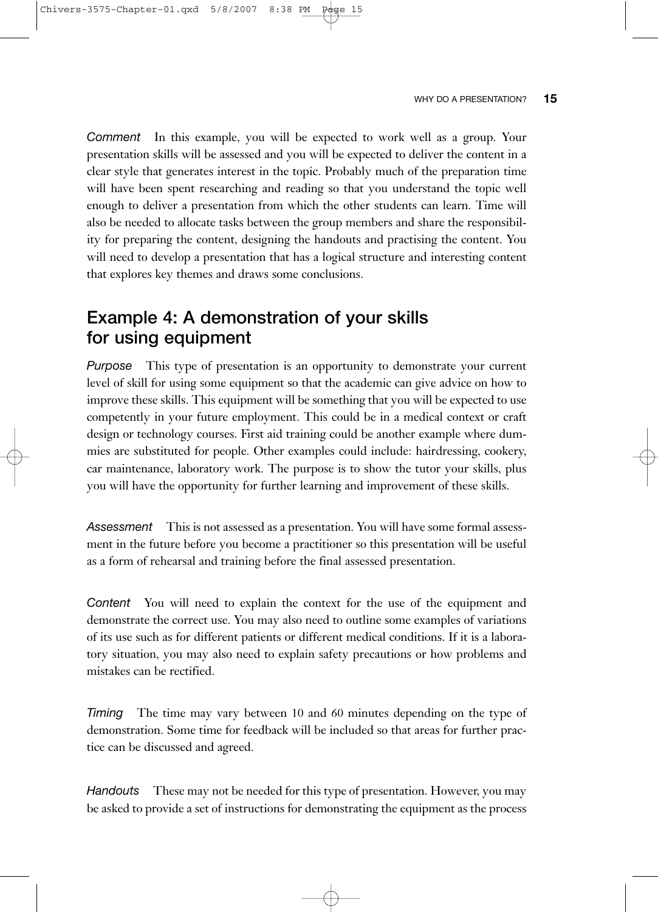Comment In this example, you will be expected to work well as a group. Your presentation skills will be assessed and you will be expected to deliver the content in a clear style that generates interest in the topic. Probably much of the preparation time will have been spent researching and reading so that you understand the topic well enough to deliver a presentation from which the other students can learn. Time will also be needed to allocate tasks between the group members and share the responsibility for preparing the content, designing the handouts and practising the content. You will need to develop a presentation that has a logical structure and interesting content that explores key themes and draws some conclusions.

### Example 4: A demonstration of your skills for using equipment

Purpose This type of presentation is an opportunity to demonstrate your current level of skill for using some equipment so that the academic can give advice on how to improve these skills. This equipment will be something that you will be expected to use competently in your future employment. This could be in a medical context or craft design or technology courses. First aid training could be another example where dummies are substituted for people. Other examples could include: hairdressing, cookery, car maintenance, laboratory work. The purpose is to show the tutor your skills, plus you will have the opportunity for further learning and improvement of these skills.

Assessment This is not assessed as a presentation. You will have some formal assessment in the future before you become a practitioner so this presentation will be useful as a form of rehearsal and training before the final assessed presentation.

Content You will need to explain the context for the use of the equipment and demonstrate the correct use. You may also need to outline some examples of variations of its use such as for different patients or different medical conditions. If it is a laboratory situation, you may also need to explain safety precautions or how problems and mistakes can be rectified.

Timing The time may vary between 10 and 60 minutes depending on the type of demonstration. Some time for feedback will be included so that areas for further practice can be discussed and agreed.

Handouts These may not be needed for this type of presentation. However, you may be asked to provide a set of instructions for demonstrating the equipment as the process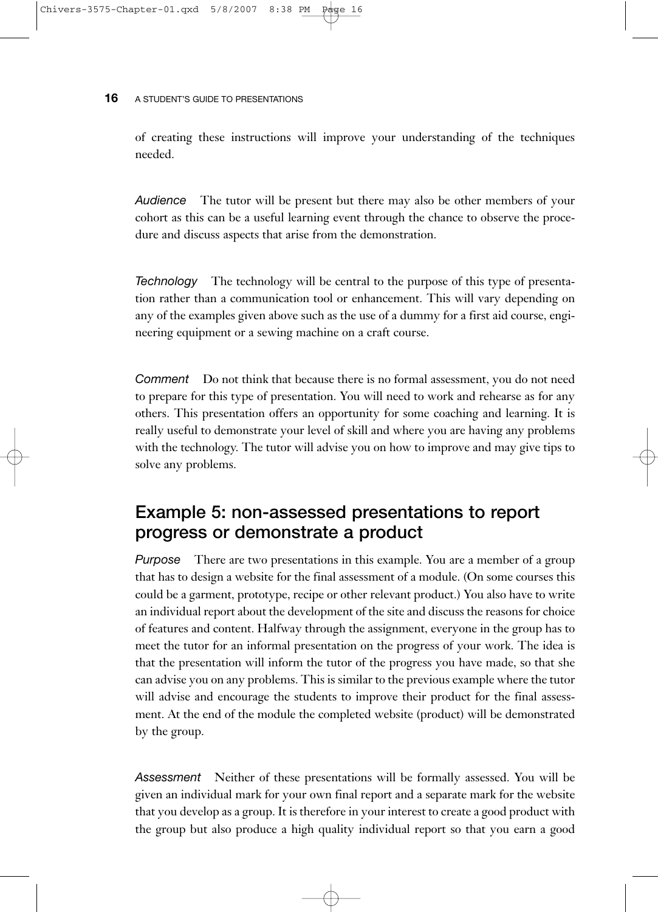of creating these instructions will improve your understanding of the techniques needed.

Audience The tutor will be present but there may also be other members of your cohort as this can be a useful learning event through the chance to observe the procedure and discuss aspects that arise from the demonstration.

Technology The technology will be central to the purpose of this type of presentation rather than a communication tool or enhancement. This will vary depending on any of the examples given above such as the use of a dummy for a first aid course, engineering equipment or a sewing machine on a craft course.

Comment Do not think that because there is no formal assessment, you do not need to prepare for this type of presentation. You will need to work and rehearse as for any others. This presentation offers an opportunity for some coaching and learning. It is really useful to demonstrate your level of skill and where you are having any problems with the technology. The tutor will advise you on how to improve and may give tips to solve any problems.

#### Example 5: non-assessed presentations to report progress or demonstrate a product

Purpose There are two presentations in this example. You are a member of a group that has to design a website for the final assessment of a module. (On some courses this could be a garment, prototype, recipe or other relevant product.) You also have to write an individual report about the development of the site and discuss the reasons for choice of features and content. Halfway through the assignment, everyone in the group has to meet the tutor for an informal presentation on the progress of your work. The idea is that the presentation will inform the tutor of the progress you have made, so that she can advise you on any problems. This is similar to the previous example where the tutor will advise and encourage the students to improve their product for the final assessment. At the end of the module the completed website (product) will be demonstrated by the group.

Assessment Neither of these presentations will be formally assessed. You will be given an individual mark for your own final report and a separate mark for the website that you develop as a group. It is therefore in your interest to create a good product with the group but also produce a high quality individual report so that you earn a good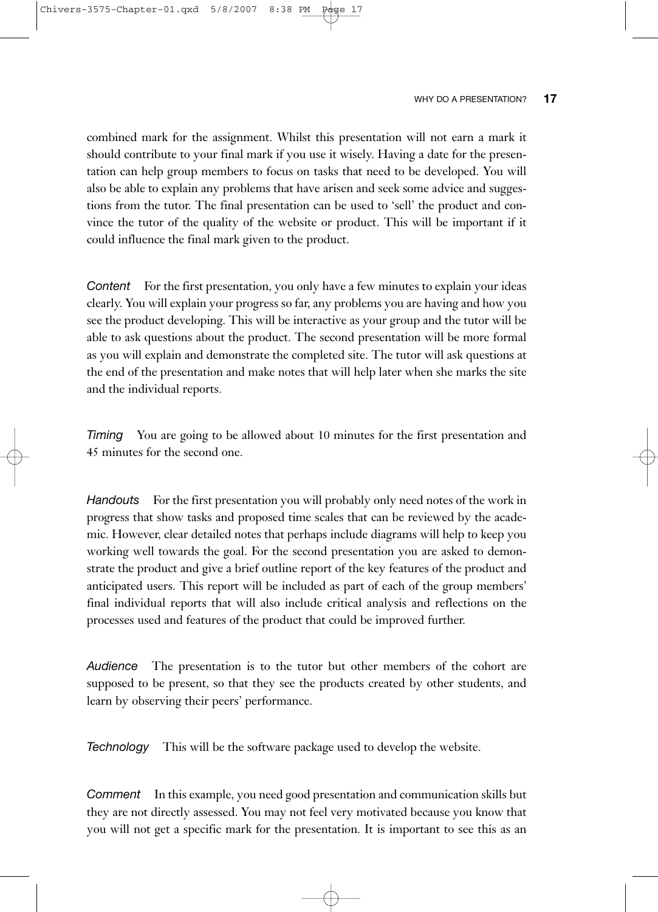combined mark for the assignment. Whilst this presentation will not earn a mark it should contribute to your final mark if you use it wisely. Having a date for the presentation can help group members to focus on tasks that need to be developed. You will also be able to explain any problems that have arisen and seek some advice and suggestions from the tutor. The final presentation can be used to 'sell' the product and convince the tutor of the quality of the website or product. This will be important if it could influence the final mark given to the product.

Content For the first presentation, you only have a few minutes to explain your ideas clearly. You will explain your progress so far, any problems you are having and how you see the product developing. This will be interactive as your group and the tutor will be able to ask questions about the product. The second presentation will be more formal as you will explain and demonstrate the completed site. The tutor will ask questions at the end of the presentation and make notes that will help later when she marks the site and the individual reports.

Timing You are going to be allowed about 10 minutes for the first presentation and 45 minutes for the second one.

Handouts For the first presentation you will probably only need notes of the work in progress that show tasks and proposed time scales that can be reviewed by the academic. However, clear detailed notes that perhaps include diagrams will help to keep you working well towards the goal. For the second presentation you are asked to demonstrate the product and give a brief outline report of the key features of the product and anticipated users. This report will be included as part of each of the group members' final individual reports that will also include critical analysis and reflections on the processes used and features of the product that could be improved further.

Audience The presentation is to the tutor but other members of the cohort are supposed to be present, so that they see the products created by other students, and learn by observing their peers' performance.

Technology This will be the software package used to develop the website.

Comment In this example, you need good presentation and communication skills but they are not directly assessed. You may not feel very motivated because you know that you will not get a specific mark for the presentation. It is important to see this as an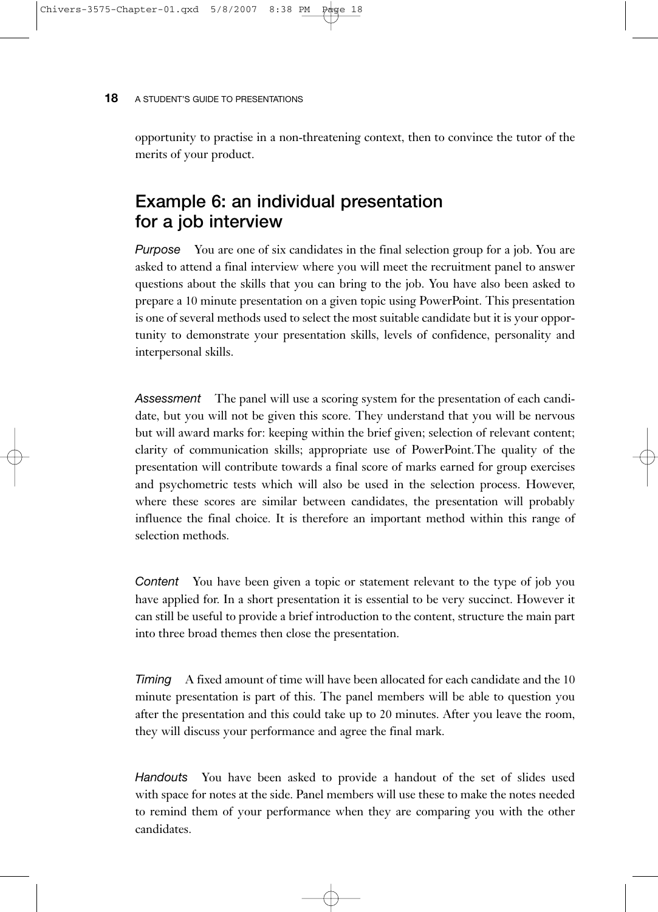opportunity to practise in a non-threatening context, then to convince the tutor of the merits of your product.

### Example 6: an individual presentation for a job interview

Purpose You are one of six candidates in the final selection group for a job. You are asked to attend a final interview where you will meet the recruitment panel to answer questions about the skills that you can bring to the job. You have also been asked to prepare a 10 minute presentation on a given topic using PowerPoint. This presentation is one of several methods used to select the most suitable candidate but it is your opportunity to demonstrate your presentation skills, levels of confidence, personality and interpersonal skills.

Assessment The panel will use a scoring system for the presentation of each candidate, but you will not be given this score. They understand that you will be nervous but will award marks for: keeping within the brief given; selection of relevant content; clarity of communication skills; appropriate use of PowerPoint.The quality of the presentation will contribute towards a final score of marks earned for group exercises and psychometric tests which will also be used in the selection process. However, where these scores are similar between candidates, the presentation will probably influence the final choice. It is therefore an important method within this range of selection methods.

Content You have been given a topic or statement relevant to the type of job you have applied for. In a short presentation it is essential to be very succinct. However it can still be useful to provide a brief introduction to the content, structure the main part into three broad themes then close the presentation.

Timing A fixed amount of time will have been allocated for each candidate and the 10 minute presentation is part of this. The panel members will be able to question you after the presentation and this could take up to 20 minutes. After you leave the room, they will discuss your performance and agree the final mark.

Handouts You have been asked to provide a handout of the set of slides used with space for notes at the side. Panel members will use these to make the notes needed to remind them of your performance when they are comparing you with the other candidates.